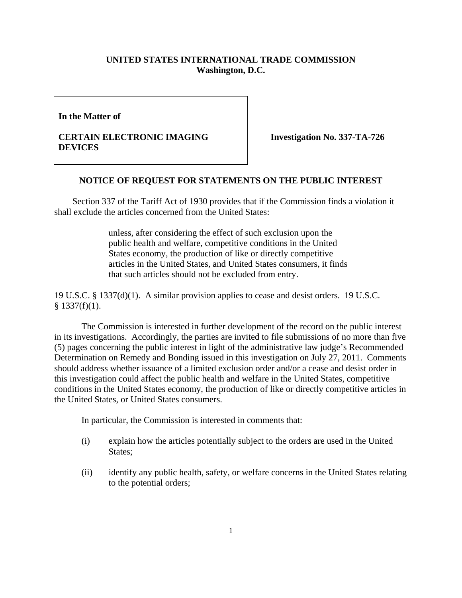## **UNITED STATES INTERNATIONAL TRADE COMMISSION Washington, D.C.**

**In the Matter of** 

## **CERTAIN ELECTRONIC IMAGING DEVICES**

**Investigation No. 337-TA-726** 

## **NOTICE OF REQUEST FOR STATEMENTS ON THE PUBLIC INTEREST**

 Section 337 of the Tariff Act of 1930 provides that if the Commission finds a violation it shall exclude the articles concerned from the United States:

> unless, after considering the effect of such exclusion upon the public health and welfare, competitive conditions in the United States economy, the production of like or directly competitive articles in the United States, and United States consumers, it finds that such articles should not be excluded from entry.

19 U.S.C. § 1337(d)(1). A similar provision applies to cease and desist orders. 19 U.S.C.  $§$  1337(f)(1).

 The Commission is interested in further development of the record on the public interest in its investigations. Accordingly, the parties are invited to file submissions of no more than five (5) pages concerning the public interest in light of the administrative law judge's Recommended Determination on Remedy and Bonding issued in this investigation on July 27, 2011. Comments should address whether issuance of a limited exclusion order and/or a cease and desist order in this investigation could affect the public health and welfare in the United States, competitive conditions in the United States economy, the production of like or directly competitive articles in the United States, or United States consumers.

In particular, the Commission is interested in comments that:

- (i) explain how the articles potentially subject to the orders are used in the United States;
- (ii) identify any public health, safety, or welfare concerns in the United States relating to the potential orders;